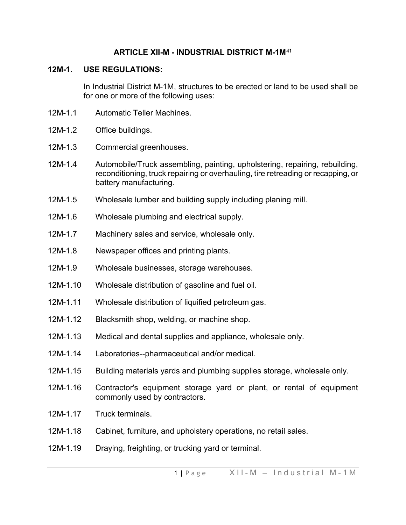# **ARTICLE XII-M - INDUSTRIAL DISTRICT M-1M**[41](#page-5-0)

## **12M-1. USE REGULATIONS:**

In Industrial District M-1M, structures to be erected or land to be used shall be for one or more of the following uses:

- 12M-1.1 Automatic Teller Machines.
- 12M-1.2 Office buildings.
- 12M-1.3 Commercial greenhouses.
- 12M-1.4 Automobile/Truck assembling, painting, upholstering, repairing, rebuilding, reconditioning, truck repairing or overhauling, tire retreading or recapping, or battery manufacturing.
- 12M-1.5 Wholesale lumber and building supply including planing mill.
- 12M-1.6 Wholesale plumbing and electrical supply.
- 12M-1.7 Machinery sales and service, wholesale only.
- 12M-1.8 Newspaper offices and printing plants.
- 12M-1.9 Wholesale businesses, storage warehouses.
- 12M-1.10 Wholesale distribution of gasoline and fuel oil.
- 12M-1.11 Wholesale distribution of liquified petroleum gas.
- 12M-1.12 Blacksmith shop, welding, or machine shop.
- 12M-1.13 Medical and dental supplies and appliance, wholesale only.
- 12M-1.14 Laboratories--pharmaceutical and/or medical.
- 12M-1.15 Building materials yards and plumbing supplies storage, wholesale only.
- 12M-1.16 Contractor's equipment storage yard or plant, or rental of equipment commonly used by contractors.
- 12M-1.17 Truck terminals
- 12M-1.18 Cabinet, furniture, and upholstery operations, no retail sales.
- 12M-1.19 Draying, freighting, or trucking yard or terminal.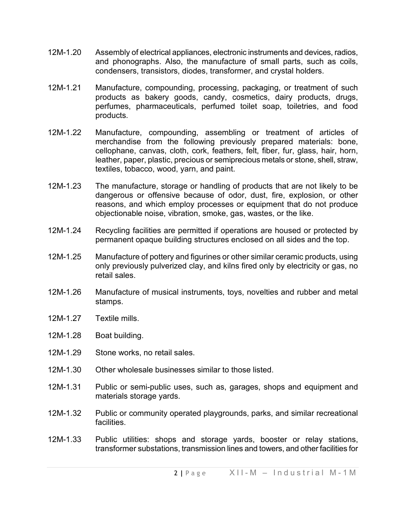- 12M-1.20 Assembly of electrical appliances, electronic instruments and devices, radios, and phonographs. Also, the manufacture of small parts, such as coils, condensers, transistors, diodes, transformer, and crystal holders.
- 12M-1.21 Manufacture, compounding, processing, packaging, or treatment of such products as bakery goods, candy, cosmetics, dairy products, drugs, perfumes, pharmaceuticals, perfumed toilet soap, toiletries, and food products.
- 12M-1.22 Manufacture, compounding, assembling or treatment of articles of merchandise from the following previously prepared materials: bone, cellophane, canvas, cloth, cork, feathers, felt, fiber, fur, glass, hair, horn, leather, paper, plastic, precious or semiprecious metals or stone, shell, straw, textiles, tobacco, wood, yarn, and paint.
- 12M-1.23 The manufacture, storage or handling of products that are not likely to be dangerous or offensive because of odor, dust, fire, explosion, or other reasons, and which employ processes or equipment that do not produce objectionable noise, vibration, smoke, gas, wastes, or the like.
- 12M-1.24 Recycling facilities are permitted if operations are housed or protected by permanent opaque building structures enclosed on all sides and the top.
- 12M-1.25 Manufacture of pottery and figurines or other similar ceramic products, using only previously pulverized clay, and kilns fired only by electricity or gas, no retail sales.
- 12M-1.26 Manufacture of musical instruments, toys, novelties and rubber and metal stamps.
- 12M-1.27 Textile mills.
- 12M-1.28 Boat building.
- 12M-1.29 Stone works, no retail sales.
- 12M-1.30 Other wholesale businesses similar to those listed.
- 12M-1.31 Public or semi-public uses, such as, garages, shops and equipment and materials storage yards.
- 12M-1.32 Public or community operated playgrounds, parks, and similar recreational facilities.
- 12M-1.33 Public utilities: shops and storage yards, booster or relay stations, transformer substations, transmission lines and towers, and other facilities for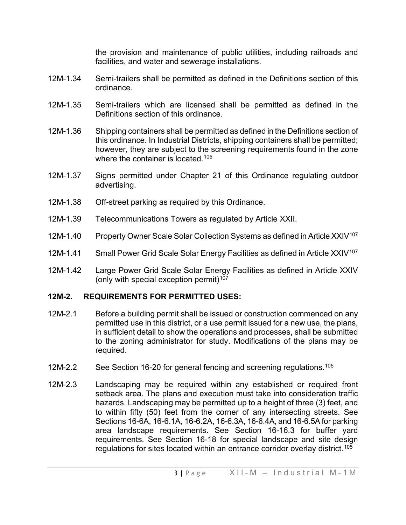the provision and maintenance of public utilities, including railroads and facilities, and water and sewerage installations.

- 12M-1.34 Semi-trailers shall be permitted as defined in the Definitions section of this ordinance.
- 12M-1.35 Semi-trailers which are licensed shall be permitted as defined in the Definitions section of this ordinance.
- 12M-1.36 Shipping containers shall be permitted as defined in the Definitions section of this ordinance. In Industrial Districts, shipping containers shall be permitted; however, they are subject to the screening requirements found in the zone where the container is located.<sup>[105](#page-5-1)</sup>
- 12M-1.37 Signs permitted under Chapter 21 of this Ordinance regulating outdoor advertising.
- 12M-1.38 Off-street parking as required by this Ordinance.
- 12M-1.39 Telecommunications Towers as regulated by Article XXII.
- 12M-1.40 Property Owner Scale Solar Collection Systems as defined in Article XXIV<sup>[107](#page-5-2)</sup>
- 12M-1.41 Small Power Grid Scale Solar Energy Facilities as defined in Article XXIV<sup>[107](#page-5-3)</sup>
- 12M-1.42 Large Power Grid Scale Solar Energy Facilities as defined in Article XXIV (only with special exception permit)<sup>[107](#page-5-4)</sup>

## **12M-2. REQUIREMENTS FOR PERMITTED USES:**

- 12M-2.1 Before a building permit shall be issued or construction commenced on any permitted use in this district, or a use permit issued for a new use, the plans, in sufficient detail to show the operations and processes, shall be submitted to the zoning administrator for study. Modifications of the plans may be required.
- 12M-2.2 See Section 16-20 for general fencing and screening regulations.<sup>[105](#page-5-5)</sup>
- 12M-2.3 Landscaping may be required within any established or required front setback area. The plans and execution must take into consideration traffic hazards. Landscaping may be permitted up to a height of three (3) feet, and to within fifty (50) feet from the corner of any intersecting streets. See Sections 16-6A, 16-6.1A, 16-6.2A, 16-6.3A, 16-6.4A, and 16-6.5A for parking area landscape requirements. See Section 16-16.3 for buffer yard requirements. See Section 16-18 for special landscape and site design regulations for sites located within an entrance corridor overlay district.<sup>[105](#page-5-6)</sup>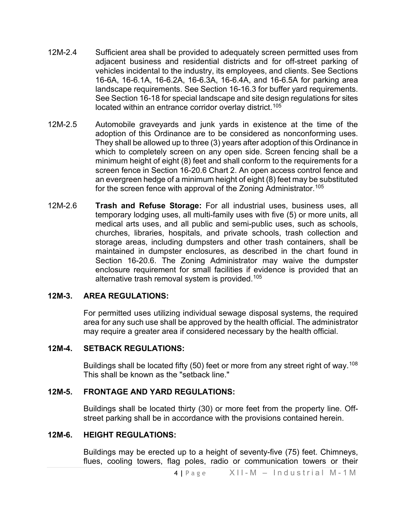- 12M-2.4 Sufficient area shall be provided to adequately screen permitted uses from adjacent business and residential districts and for off-street parking of vehicles incidental to the industry, its employees, and clients. See Sections 16-6A, 16-6.1A, 16-6.2A, 16-6.3A, 16-6.4A, and 16-6.5A for parking area landscape requirements. See Section 16-16.3 for buffer yard requirements. See Section 16-18 for special landscape and site design regulations for sites located within an entrance corridor overlay district.<sup>[105](#page-5-7)</sup>
- 12M-2.5 Automobile graveyards and junk yards in existence at the time of the adoption of this Ordinance are to be considered as nonconforming uses. They shall be allowed up to three (3) years after adoption of this Ordinance in which to completely screen on any open side. Screen fencing shall be a minimum height of eight (8) feet and shall conform to the requirements for a screen fence in Section 16-20.6 Chart 2. An open access control fence and an evergreen hedge of a minimum height of eight (8) feet may be substituted for the screen fence with approval of the Zoning Administrator.<sup>[105](#page-5-8)</sup>
- 12M-2.6 **Trash and Refuse Storage:** For all industrial uses, business uses, all temporary lodging uses, all multi-family uses with five (5) or more units, all medical arts uses, and all public and semi-public uses, such as schools, churches, libraries, hospitals, and private schools, trash collection and storage areas, including dumpsters and other trash containers, shall be maintained in dumpster enclosures, as described in the chart found in Section 16-20.6. The Zoning Administrator may waive the dumpster enclosure requirement for small facilities if evidence is provided that an alternative trash removal system is provided.<sup>[105](#page-5-9)</sup>

### **12M-3. AREA REGULATIONS:**

For permitted uses utilizing individual sewage disposal systems, the required area for any such use shall be approved by the health official. The administrator may require a greater area if considered necessary by the health official.

#### **12M-4. SETBACK REGULATIONS:**

Buildings shall be located fifty (50) feet or more from any street right of way. $^{108}$  $^{108}$  $^{108}$ This shall be known as the "setback line."

#### **12M-5. FRONTAGE AND YARD REGULATIONS:**

Buildings shall be located thirty (30) or more feet from the property line. Offstreet parking shall be in accordance with the provisions contained herein.

#### **12M-6. HEIGHT REGULATIONS:**

Buildings may be erected up to a height of seventy-five (75) feet. Chimneys, flues, cooling towers, flag poles, radio or communication towers or their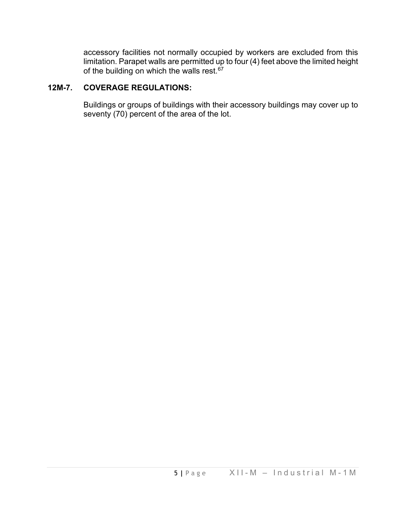accessory facilities not normally occupied by workers are excluded from this limitation. Parapet walls are permitted up to four (4) feet above the limited height of the building on which the walls rest. $67$ 

# **12M-7. COVERAGE REGULATIONS:**

Buildings or groups of buildings with their accessory buildings may cover up to seventy (70) percent of the area of the lot.